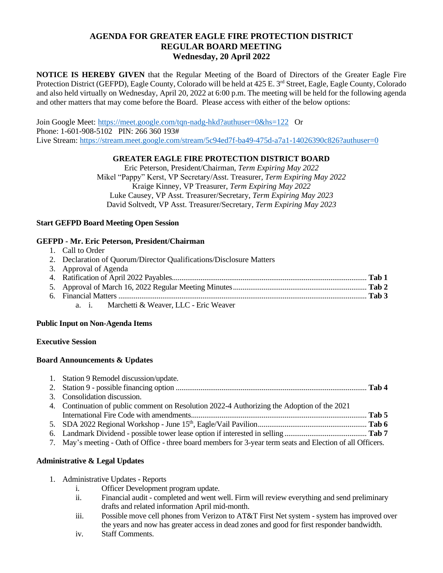# **AGENDA FOR GREATER EAGLE FIRE PROTECTION DISTRICT REGULAR BOARD MEETING Wednesday, 20 April 2022**

**NOTICE IS HEREBY GIVEN** that the Regular Meeting of the Board of Directors of the Greater Eagle Fire Protection District (GEFPD), Eagle County, Colorado will be held at 425 E. 3<sup>rd</sup> Street, Eagle, Eagle County, Colorado and also held virtually on Wednesday, April 20, 2022 at 6:00 p.m. The meeting will be held for the following agenda and other matters that may come before the Board. Please access with either of the below options:

Join Google Meet: <https://meet.google.com/tqn-nadg-hkd?authuser=0&hs=122>Or Phone: 1-601-908-5102 PIN: 266 360 193# Live Stream:<https://stream.meet.google.com/stream/5c94ed7f-ba49-475d-a7a1-14026390c826?authuser=0>

## **GREATER EAGLE FIRE PROTECTION DISTRICT BOARD**

Eric Peterson, President/Chairman, *Term Expiring May 2022* Mikel "Pappy" Kerst, VP Secretary/Asst. Treasurer, *Term Expiring May 2022* Kraige Kinney, VP Treasurer, *Term Expiring May 2022* Luke Causey, VP Asst. Treasurer/Secretary, *Term Expiring May 2023* David Soltvedt, VP Asst. Treasurer/Secretary, *Term Expiring May 2023*

## **Start GEFPD Board Meeting Open Session**

## **GEFPD - Mr. Eric Peterson, President/Chairman**

| 1. |  | Call to Order |
|----|--|---------------|
|    |  |               |

2. Declaration of Quorum/Director Qualifications/Disclosure Matters

| 3. Approval of Agenda                     |  |
|-------------------------------------------|--|
|                                           |  |
|                                           |  |
|                                           |  |
| a i Marchetti & Weaver, LLC - Eric Weaver |  |

### **Public Input on Non-Agenda Items**

### **Executive Session**

# **Board Announcements & Updates**

| 1. Station 9 Remodel discussion/update.                                                                     |  |
|-------------------------------------------------------------------------------------------------------------|--|
| 3. Consolidation discussion.                                                                                |  |
| 4. Continuation of public comment on Resolution 2022-4 Authorizing the Adoption of the 2021                 |  |
|                                                                                                             |  |
|                                                                                                             |  |
|                                                                                                             |  |
| 7. May's meeting - Oath of Office - three board members for 3-year term seats and Election of all Officers. |  |

# **Administrative & Legal Updates**

- 1. Administrative Updates Reports
	- i. Officer Development program update.
	- ii. Financial audit completed and went well. Firm will review everything and send preliminary drafts and related information April mid-month.
	- iii. Possible move cell phones from Verizon to AT&T First Net system system has improved over the years and now has greater access in dead zones and good for first responder bandwidth.
	- iv. Staff Comments.